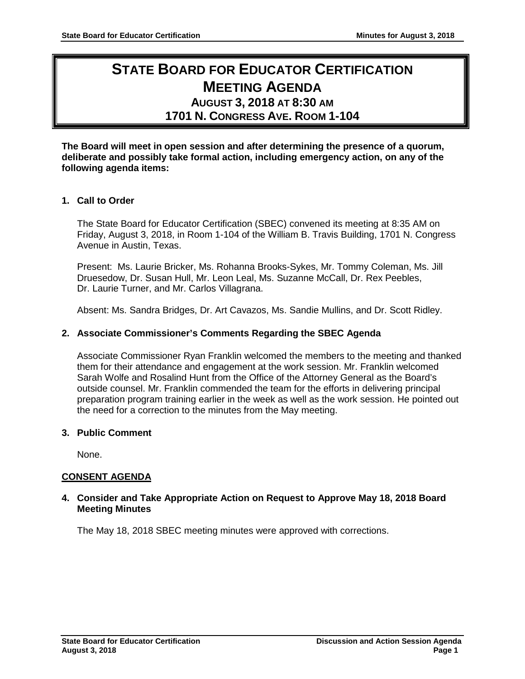# **STATE BOARD FOR EDUCATOR CERTIFICATION MEETING AGENDA AUGUST 3, 2018 AT 8:30 AM 1701 N. CONGRESS AVE. ROOM 1-104**

**The Board will meet in open session and after determining the presence of a quorum, deliberate and possibly take formal action, including emergency action, on any of the following agenda items:**

# **1. Call to Order**

The State Board for Educator Certification (SBEC) convened its meeting at 8:35 AM on Friday, August 3, 2018, in Room 1-104 of the William B. Travis Building, 1701 N. Congress Avenue in Austin, Texas.

Present: Ms. Laurie Bricker, Ms. Rohanna Brooks-Sykes, Mr. Tommy Coleman, Ms. Jill Druesedow, Dr. Susan Hull, Mr. Leon Leal, Ms. Suzanne McCall, Dr. Rex Peebles, Dr. Laurie Turner, and Mr. Carlos Villagrana.

Absent: Ms. Sandra Bridges, Dr. Art Cavazos, Ms. Sandie Mullins, and Dr. Scott Ridley.

# **2. Associate Commissioner's Comments Regarding the SBEC Agenda**

Associate Commissioner Ryan Franklin welcomed the members to the meeting and thanked them for their attendance and engagement at the work session. Mr. Franklin welcomed Sarah Wolfe and Rosalind Hunt from the Office of the Attorney General as the Board's outside counsel. Mr. Franklin commended the team for the efforts in delivering principal preparation program training earlier in the week as well as the work session. He pointed out the need for a correction to the minutes from the May meeting.

## **3. Public Comment**

None.

# **CONSENT AGENDA**

## **4. Consider and Take Appropriate Action on Request to Approve May 18, 2018 Board Meeting Minutes**

The May 18, 2018 SBEC meeting minutes were approved with corrections.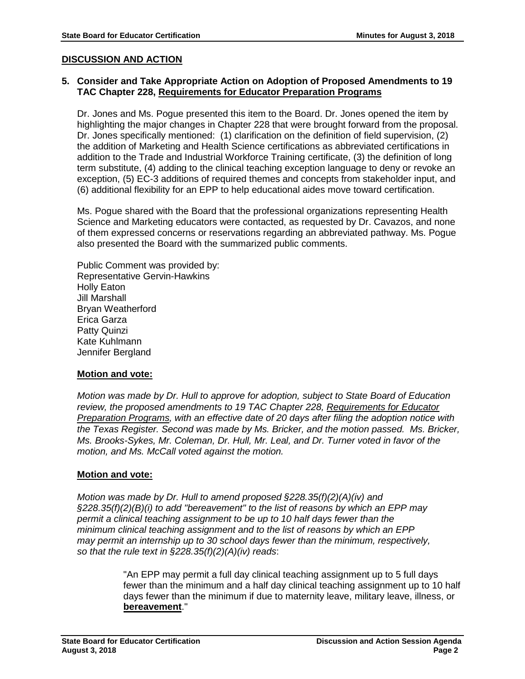## **DISCUSSION AND ACTION**

## **5. Consider and Take Appropriate Action on Adoption of Proposed Amendments to 19 TAC Chapter 228, Requirements for Educator Preparation Programs**

Dr. Jones and Ms. Pogue presented this item to the Board. Dr. Jones opened the item by highlighting the major changes in Chapter 228 that were brought forward from the proposal. Dr. Jones specifically mentioned: (1) clarification on the definition of field supervision, (2) the addition of Marketing and Health Science certifications as abbreviated certifications in addition to the Trade and Industrial Workforce Training certificate, (3) the definition of long term substitute, (4) adding to the clinical teaching exception language to deny or revoke an exception, (5) EC-3 additions of required themes and concepts from stakeholder input, and (6) additional flexibility for an EPP to help educational aides move toward certification.

Ms. Pogue shared with the Board that the professional organizations representing Health Science and Marketing educators were contacted, as requested by Dr. Cavazos, and none of them expressed concerns or reservations regarding an abbreviated pathway. Ms. Pogue also presented the Board with the summarized public comments.

Public Comment was provided by: Representative Gervin-Hawkins Holly Eaton Jill Marshall Bryan Weatherford Erica Garza Patty Quinzi Kate Kuhlmann Jennifer Bergland

## **Motion and vote:**

*Motion was made by Dr. Hull to approve for adoption, subject to State Board of Education review, the proposed amendments to 19 TAC Chapter 228, Requirements for Educator Preparation Programs, with an effective date of 20 days after filing the adoption notice with the Texas Register. Second was made by Ms. Bricker, and the motion passed. Ms. Bricker, Ms. Brooks-Sykes, Mr. Coleman, Dr. Hull, Mr. Leal, and Dr. Turner voted in favor of the motion, and Ms. McCall voted against the motion.*

## **Motion and vote:**

*Motion was made by Dr. Hull to amend proposed §228.35(f)(2)(A)(iv) and §228.35(f)(2)(B)(i) to add "bereavement" to the list of reasons by which an EPP may permit a clinical teaching assignment to be up to 10 half days fewer than the minimum clinical teaching assignment and to the list of reasons by which an EPP may permit an internship up to 30 school days fewer than the minimum, respectively, so that the rule text in §228.35(f)(2)(A)(iv) reads*:

> "An EPP may permit a full day clinical teaching assignment up to 5 full days fewer than the minimum and a half day clinical teaching assignment up to 10 half days fewer than the minimum if due to maternity leave, military leave, illness, or **bereavement**."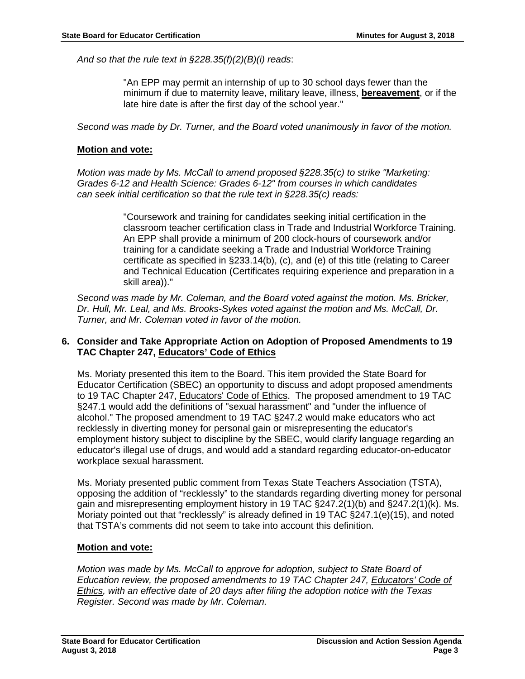*And so that the rule text in §228.35(f)(2)(B)(i) reads*:

"An EPP may permit an internship of up to 30 school days fewer than the minimum if due to maternity leave, military leave, illness, **bereavement**, or if the late hire date is after the first day of the school year."

*Second was made by Dr. Turner, and the Board voted unanimously in favor of the motion.*

#### **Motion and vote:**

*Motion was made by Ms. McCall to amend proposed §228.35(c) to strike "Marketing: Grades 6-12 and Health Science: Grades 6-12" from courses in which candidates can seek initial certification so that the rule text in §228.35(c) reads:* 

> "Coursework and training for candidates seeking initial certification in the classroom teacher certification class in Trade and Industrial Workforce Training. An EPP shall provide a minimum of 200 clock-hours of coursework and/or training for a candidate seeking a Trade and Industrial Workforce Training certificate as specified in §233.14(b), (c), and (e) of this title (relating to Career and Technical Education (Certificates requiring experience and preparation in a skill area))."

*Second was made by Mr. Coleman, and the Board voted against the motion. Ms. Bricker, Dr. Hull, Mr. Leal, and Ms. Brooks-Sykes voted against the motion and Ms. McCall, Dr. Turner, and Mr. Coleman voted in favor of the motion.* 

## **6. Consider and Take Appropriate Action on Adoption of Proposed Amendments to 19 TAC Chapter 247, Educators' Code of Ethics**

Ms. Moriaty presented this item to the Board. This item provided the State Board for Educator Certification (SBEC) an opportunity to discuss and adopt proposed amendments to 19 TAC Chapter 247, Educators' Code of Ethics. The proposed amendment to 19 TAC §247.1 would add the definitions of "sexual harassment" and "under the influence of alcohol." The proposed amendment to 19 TAC §247.2 would make educators who act recklessly in diverting money for personal gain or misrepresenting the educator's employment history subject to discipline by the SBEC, would clarify language regarding an educator's illegal use of drugs, and would add a standard regarding educator-on-educator workplace sexual harassment.

Ms. Moriaty presented public comment from Texas State Teachers Association (TSTA), opposing the addition of "recklessly" to the standards regarding diverting money for personal gain and misrepresenting employment history in 19 TAC §247.2(1)(b) and §247.2(1)(k). Ms. Moriaty pointed out that "recklessly" is already defined in 19 TAC §247.1(e)(15), and noted that TSTA's comments did not seem to take into account this definition.

## **Motion and vote:**

*Motion was made by Ms. McCall to approve for adoption, subject to State Board of Education review, the proposed amendments to 19 TAC Chapter 247, Educators' Code of Ethics, with an effective date of 20 days after filing the adoption notice with the Texas Register. Second was made by Mr. Coleman.*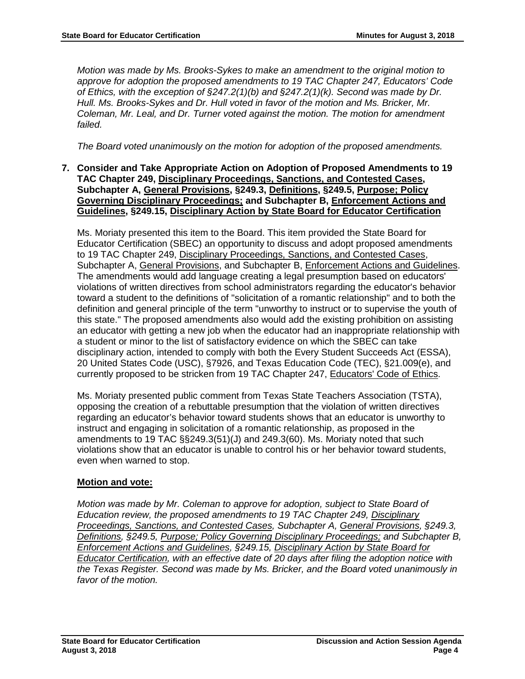*Motion was made by Ms. Brooks-Sykes to make an amendment to the original motion to approve for adoption the proposed amendments to 19 TAC Chapter 247, Educators' Code of Ethics, with the exception of §247.2(1)(b) and §247.2(1)(k). Second was made by Dr. Hull. Ms. Brooks-Sykes and Dr. Hull voted in favor of the motion and Ms. Bricker, Mr. Coleman, Mr. Leal, and Dr. Turner voted against the motion. The motion for amendment failed.*

*The Board voted unanimously on the motion for adoption of the proposed amendments.* 

**7. Consider and Take Appropriate Action on Adoption of Proposed Amendments to 19 TAC Chapter 249, Disciplinary Proceedings, Sanctions, and Contested Cases, Subchapter A, General Provisions, §249.3, Definitions, §249.5, Purpose; Policy Governing Disciplinary Proceedings; and Subchapter B, Enforcement Actions and Guidelines, §249.15, Disciplinary Action by State Board for Educator Certification**

Ms. Moriaty presented this item to the Board. This item provided the State Board for Educator Certification (SBEC) an opportunity to discuss and adopt proposed amendments to 19 TAC Chapter 249, Disciplinary Proceedings, Sanctions, and Contested Cases, Subchapter A, General Provisions, and Subchapter B, Enforcement Actions and Guidelines. The amendments would add language creating a legal presumption based on educators' violations of written directives from school administrators regarding the educator's behavior toward a student to the definitions of "solicitation of a romantic relationship" and to both the definition and general principle of the term "unworthy to instruct or to supervise the youth of this state." The proposed amendments also would add the existing prohibition on assisting an educator with getting a new job when the educator had an inappropriate relationship with a student or minor to the list of satisfactory evidence on which the SBEC can take disciplinary action, intended to comply with both the Every Student Succeeds Act (ESSA), 20 United States Code (USC), §7926, and Texas Education Code (TEC), §21.009(e), and currently proposed to be stricken from 19 TAC Chapter 247, Educators' Code of Ethics.

Ms. Moriaty presented public comment from Texas State Teachers Association (TSTA), opposing the creation of a rebuttable presumption that the violation of written directives regarding an educator's behavior toward students shows that an educator is unworthy to instruct and engaging in solicitation of a romantic relationship, as proposed in the amendments to 19 TAC §§249.3(51)(J) and 249.3(60). Ms. Moriaty noted that such violations show that an educator is unable to control his or her behavior toward students, even when warned to stop.

## **Motion and vote:**

*Motion was made by Mr. Coleman to approve for adoption, subject to State Board of Education review, the proposed amendments to 19 TAC Chapter 249, Disciplinary Proceedings, Sanctions, and Contested Cases, Subchapter A, General Provisions, §249.3, Definitions, §249.5, Purpose; Policy Governing Disciplinary Proceedings; and Subchapter B, Enforcement Actions and Guidelines, §249.15, Disciplinary Action by State Board for Educator Certification, with an effective date of 20 days after filing the adoption notice with the Texas Register. Second was made by Ms. Bricker, and the Board voted unanimously in favor of the motion.*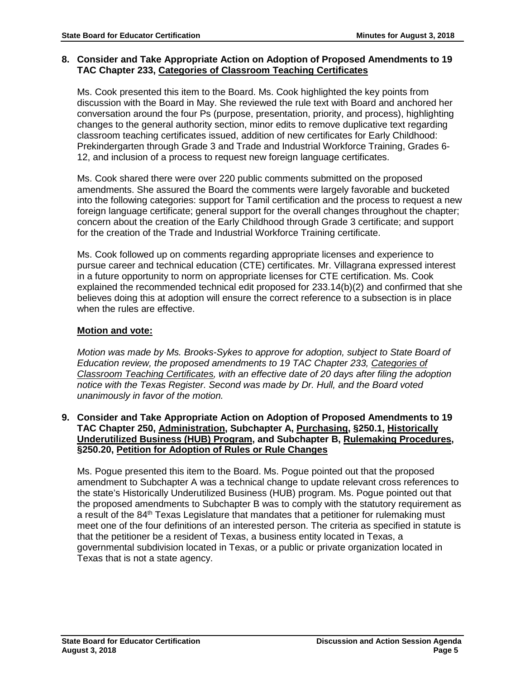#### **8. Consider and Take Appropriate Action on Adoption of Proposed Amendments to 19 TAC Chapter 233, Categories of Classroom Teaching Certificates**

Ms. Cook presented this item to the Board. Ms. Cook highlighted the key points from discussion with the Board in May. She reviewed the rule text with Board and anchored her conversation around the four Ps (purpose, presentation, priority, and process), highlighting changes to the general authority section, minor edits to remove duplicative text regarding classroom teaching certificates issued, addition of new certificates for Early Childhood: Prekindergarten through Grade 3 and Trade and Industrial Workforce Training, Grades 6- 12, and inclusion of a process to request new foreign language certificates.

Ms. Cook shared there were over 220 public comments submitted on the proposed amendments. She assured the Board the comments were largely favorable and bucketed into the following categories: support for Tamil certification and the process to request a new foreign language certificate; general support for the overall changes throughout the chapter; concern about the creation of the Early Childhood through Grade 3 certificate; and support for the creation of the Trade and Industrial Workforce Training certificate.

Ms. Cook followed up on comments regarding appropriate licenses and experience to pursue career and technical education (CTE) certificates. Mr. Villagrana expressed interest in a future opportunity to norm on appropriate licenses for CTE certification. Ms. Cook explained the recommended technical edit proposed for 233.14(b)(2) and confirmed that she believes doing this at adoption will ensure the correct reference to a subsection is in place when the rules are effective.

# **Motion and vote:**

*Motion was made by Ms. Brooks-Sykes to approve for adoption, subject to State Board of Education review, the proposed amendments to 19 TAC Chapter 233, Categories of Classroom Teaching Certificates, with an effective date of 20 days after filing the adoption notice with the Texas Register. Second was made by Dr. Hull, and the Board voted unanimously in favor of the motion.*

**9. Consider and Take Appropriate Action on Adoption of Proposed Amendments to 19 TAC Chapter 250, Administration, Subchapter A, Purchasing, §250.1, Historically Underutilized Business (HUB) Program, and Subchapter B, Rulemaking Procedures, §250.20, Petition for Adoption of Rules or Rule Changes**

Ms. Pogue presented this item to the Board. Ms. Pogue pointed out that the proposed amendment to Subchapter A was a technical change to update relevant cross references to the state's Historically Underutilized Business (HUB) program. Ms. Pogue pointed out that the proposed amendments to Subchapter B was to comply with the statutory requirement as a result of the 84<sup>th</sup> Texas Legislature that mandates that a petitioner for rulemaking must meet one of the four definitions of an interested person. The criteria as specified in statute is that the petitioner be a resident of Texas, a business entity located in Texas, a governmental subdivision located in Texas, or a public or private organization located in Texas that is not a state agency.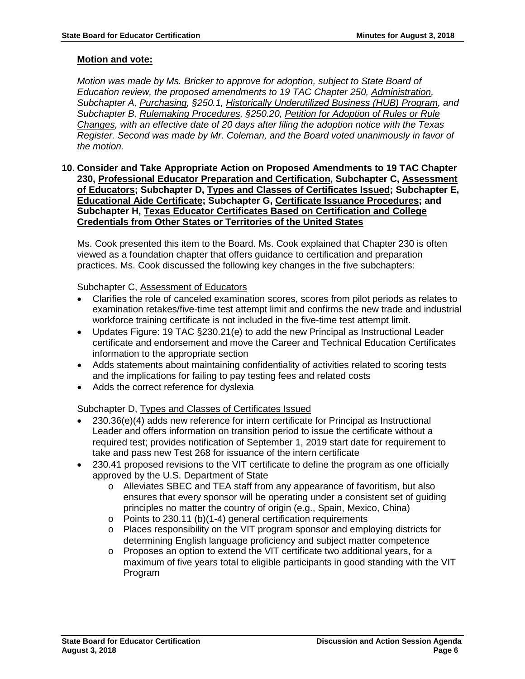## **Motion and vote:**

*Motion was made by Ms. Bricker to approve for adoption, subject to State Board of Education review, the proposed amendments to 19 TAC Chapter 250, Administration, Subchapter A, Purchasing, §250.1, Historically Underutilized Business (HUB) Program, and Subchapter B, Rulemaking Procedures, §250.20, Petition for Adoption of Rules or Rule Changes, with an effective date of 20 days after filing the adoption notice with the Texas Register. Second was made by Mr. Coleman, and the Board voted unanimously in favor of the motion.*

#### **10. Consider and Take Appropriate Action on Proposed Amendments to 19 TAC Chapter 230, Professional Educator Preparation and Certification, Subchapter C, Assessment of Educators; Subchapter D, Types and Classes of Certificates Issued; Subchapter E, Educational Aide Certificate; Subchapter G, Certificate Issuance Procedures; and Subchapter H, Texas Educator Certificates Based on Certification and College Credentials from Other States or Territories of the United States**

Ms. Cook presented this item to the Board. Ms. Cook explained that Chapter 230 is often viewed as a foundation chapter that offers guidance to certification and preparation practices. Ms. Cook discussed the following key changes in the five subchapters:

Subchapter C, Assessment of Educators

- Clarifies the role of canceled examination scores, scores from pilot periods as relates to examination retakes/five-time test attempt limit and confirms the new trade and industrial workforce training certificate is not included in the five-time test attempt limit.
- Updates Figure: 19 TAC §230.21(e) to add the new Principal as Instructional Leader certificate and endorsement and move the Career and Technical Education Certificates information to the appropriate section
- Adds statements about maintaining confidentiality of activities related to scoring tests and the implications for failing to pay testing fees and related costs
- Adds the correct reference for dyslexia

Subchapter D, Types and Classes of Certificates Issued

- 230.36(e)(4) adds new reference for intern certificate for Principal as Instructional Leader and offers information on transition period to issue the certificate without a required test; provides notification of September 1, 2019 start date for requirement to take and pass new Test 268 for issuance of the intern certificate
- 230.41 proposed revisions to the VIT certificate to define the program as one officially approved by the U.S. Department of State
	- o Alleviates SBEC and TEA staff from any appearance of favoritism, but also ensures that every sponsor will be operating under a consistent set of guiding principles no matter the country of origin (e.g., Spain, Mexico, China)
	- o Points to 230.11 (b)(1-4) general certification requirements
	- o Places responsibility on the VIT program sponsor and employing districts for determining English language proficiency and subject matter competence
	- o Proposes an option to extend the VIT certificate two additional years, for a maximum of five years total to eligible participants in good standing with the VIT Program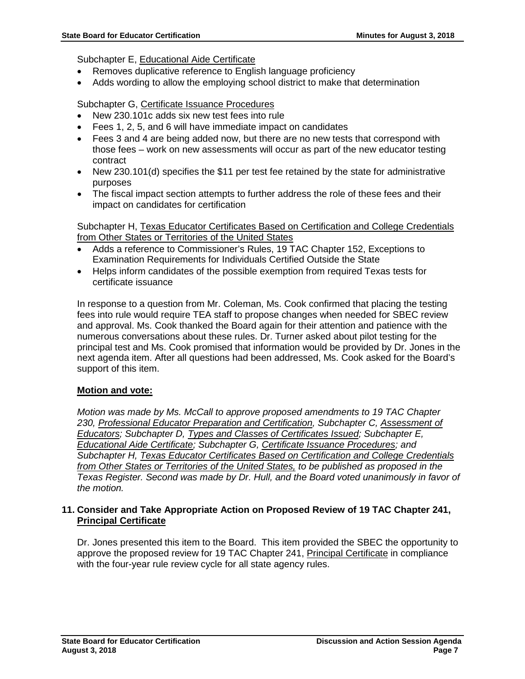Subchapter E, Educational Aide Certificate

- Removes duplicative reference to English language proficiency
- Adds wording to allow the employing school district to make that determination

# Subchapter G, Certificate Issuance Procedures

- New 230.101c adds six new test fees into rule
- Fees 1, 2, 5, and 6 will have immediate impact on candidates
- Fees 3 and 4 are being added now, but there are no new tests that correspond with those fees – work on new assessments will occur as part of the new educator testing contract
- New 230.101(d) specifies the \$11 per test fee retained by the state for administrative purposes
- The fiscal impact section attempts to further address the role of these fees and their impact on candidates for certification

Subchapter H, Texas Educator Certificates Based on Certification and College Credentials from Other States or Territories of the United States

- Adds a reference to Commissioner's Rules, 19 TAC Chapter 152, Exceptions to Examination Requirements for Individuals Certified Outside the State
- Helps inform candidates of the possible exemption from required Texas tests for certificate issuance

In response to a question from Mr. Coleman, Ms. Cook confirmed that placing the testing fees into rule would require TEA staff to propose changes when needed for SBEC review and approval. Ms. Cook thanked the Board again for their attention and patience with the numerous conversations about these rules. Dr. Turner asked about pilot testing for the principal test and Ms. Cook promised that information would be provided by Dr. Jones in the next agenda item. After all questions had been addressed, Ms. Cook asked for the Board's support of this item.

## **Motion and vote:**

*Motion was made by Ms. McCall to approve proposed amendments to 19 TAC Chapter 230, Professional Educator Preparation and Certification, Subchapter C, Assessment of Educators; Subchapter D, Types and Classes of Certificates Issued; Subchapter E, Educational Aide Certificate; Subchapter G, Certificate Issuance Procedures; and Subchapter H, Texas Educator Certificates Based on Certification and College Credentials from Other States or Territories of the United States, to be published as proposed in the Texas Register. Second was made by Dr. Hull, and the Board voted unanimously in favor of the motion.*

## **11. Consider and Take Appropriate Action on Proposed Review of 19 TAC Chapter 241, Principal Certificate**

Dr. Jones presented this item to the Board. This item provided the SBEC the opportunity to approve the proposed review for 19 TAC Chapter 241, Principal Certificate in compliance with the four-year rule review cycle for all state agency rules.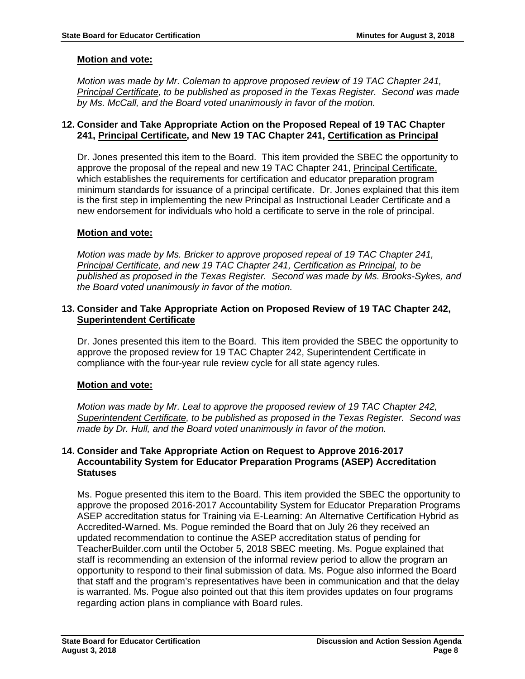## **Motion and vote:**

*Motion was made by Mr. Coleman to approve proposed review of 19 TAC Chapter 241, Principal Certificate, to be published as proposed in the Texas Register. Second was made by Ms. McCall, and the Board voted unanimously in favor of the motion.*

#### **12. Consider and Take Appropriate Action on the Proposed Repeal of 19 TAC Chapter 241, Principal Certificate, and New 19 TAC Chapter 241, Certification as Principal**

Dr. Jones presented this item to the Board. This item provided the SBEC the opportunity to approve the proposal of the repeal and new 19 TAC Chapter 241, Principal Certificate, which establishes the requirements for certification and educator preparation program minimum standards for issuance of a principal certificate. Dr. Jones explained that this item is the first step in implementing the new Principal as Instructional Leader Certificate and a new endorsement for individuals who hold a certificate to serve in the role of principal.

# **Motion and vote:**

*Motion was made by Ms. Bricker to approve proposed repeal of 19 TAC Chapter 241, Principal Certificate, and new 19 TAC Chapter 241, Certification as Principal, to be published as proposed in the Texas Register. Second was made by Ms. Brooks-Sykes, and the Board voted unanimously in favor of the motion.*

#### **13. Consider and Take Appropriate Action on Proposed Review of 19 TAC Chapter 242, Superintendent Certificate**

Dr. Jones presented this item to the Board. This item provided the SBEC the opportunity to approve the proposed review for 19 TAC Chapter 242, Superintendent Certificate in compliance with the four-year rule review cycle for all state agency rules.

## **Motion and vote:**

*Motion was made by Mr. Leal to approve the proposed review of 19 TAC Chapter 242, Superintendent Certificate, to be published as proposed in the Texas Register. Second was made by Dr. Hull, and the Board voted unanimously in favor of the motion.*

#### **14. Consider and Take Appropriate Action on Request to Approve 2016-2017 Accountability System for Educator Preparation Programs (ASEP) Accreditation Statuses**

Ms. Pogue presented this item to the Board. This item provided the SBEC the opportunity to approve the proposed 2016-2017 Accountability System for Educator Preparation Programs ASEP accreditation status for Training via E-Learning: An Alternative Certification Hybrid as Accredited-Warned. Ms. Pogue reminded the Board that on July 26 they received an updated recommendation to continue the ASEP accreditation status of pending for TeacherBuilder.com until the October 5, 2018 SBEC meeting. Ms. Pogue explained that staff is recommending an extension of the informal review period to allow the program an opportunity to respond to their final submission of data. Ms. Pogue also informed the Board that staff and the program's representatives have been in communication and that the delay is warranted. Ms. Pogue also pointed out that this item provides updates on four programs regarding action plans in compliance with Board rules.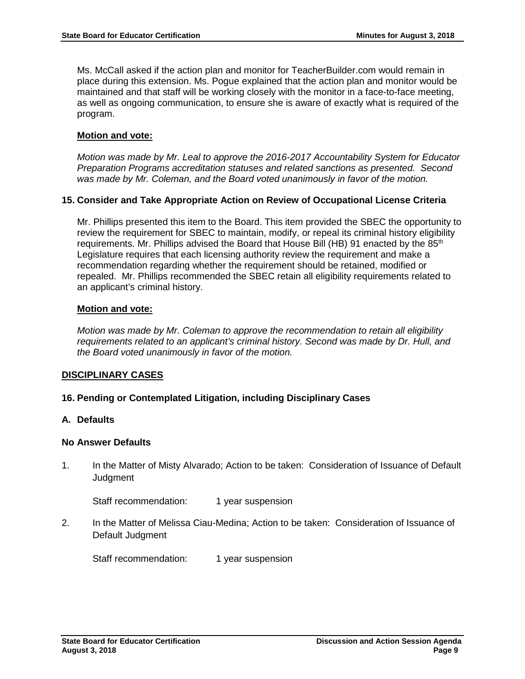Ms. McCall asked if the action plan and monitor for TeacherBuilder.com would remain in place during this extension. Ms. Pogue explained that the action plan and monitor would be maintained and that staff will be working closely with the monitor in a face-to-face meeting, as well as ongoing communication, to ensure she is aware of exactly what is required of the program.

#### **Motion and vote:**

*Motion was made by Mr. Leal to approve the 2016-2017 Accountability System for Educator Preparation Programs accreditation statuses and related sanctions as presented. Second was made by Mr. Coleman, and the Board voted unanimously in favor of the motion.*

#### **15. Consider and Take Appropriate Action on Review of Occupational License Criteria**

Mr. Phillips presented this item to the Board. This item provided the SBEC the opportunity to review the requirement for SBEC to maintain, modify, or repeal its criminal history eligibility requirements. Mr. Phillips advised the Board that House Bill (HB) 91 enacted by the 85<sup>th</sup> Legislature requires that each licensing authority review the requirement and make a recommendation regarding whether the requirement should be retained, modified or repealed. Mr. Phillips recommended the SBEC retain all eligibility requirements related to an applicant's criminal history.

#### **Motion and vote:**

*Motion was made by Mr. Coleman to approve the recommendation to retain all eligibility requirements related to an applicant's criminal history. Second was made by Dr. Hull, and the Board voted unanimously in favor of the motion.*

## **DISCIPLINARY CASES**

## **16. Pending or Contemplated Litigation, including Disciplinary Cases**

#### **A. Defaults**

#### **No Answer Defaults**

1. In the Matter of Misty Alvarado; Action to be taken: Consideration of Issuance of Default **Judament** 

Staff recommendation: 1 year suspension

2. In the Matter of Melissa Ciau-Medina; Action to be taken: Consideration of Issuance of Default Judgment

Staff recommendation: 1 year suspension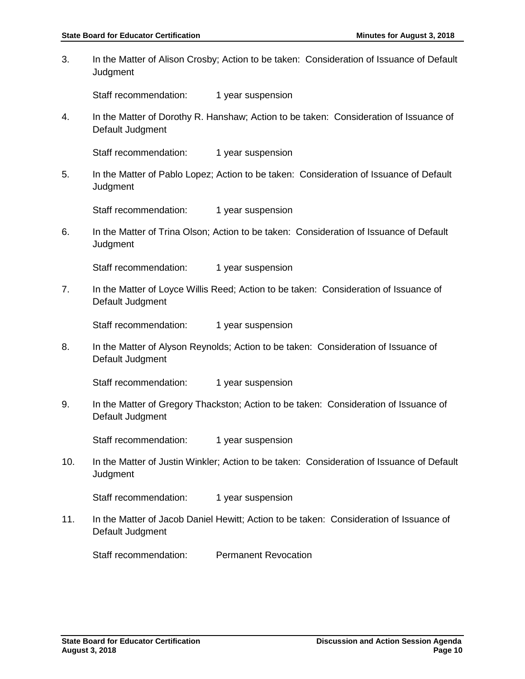3. In the Matter of Alison Crosby; Action to be taken: Consideration of Issuance of Default **Judament** 

Staff recommendation: 1 year suspension

4. In the Matter of Dorothy R. Hanshaw; Action to be taken: Consideration of Issuance of Default Judgment

Staff recommendation: 1 year suspension

5. In the Matter of Pablo Lopez; Action to be taken: Consideration of Issuance of Default Judgment

Staff recommendation: 1 year suspension

6. In the Matter of Trina Olson; Action to be taken: Consideration of Issuance of Default **Judgment** 

Staff recommendation: 1 year suspension

7. In the Matter of Loyce Willis Reed; Action to be taken: Consideration of Issuance of Default Judgment

Staff recommendation: 1 year suspension

8. In the Matter of Alyson Reynolds; Action to be taken: Consideration of Issuance of Default Judgment

Staff recommendation: 1 year suspension

9. In the Matter of Gregory Thackston; Action to be taken: Consideration of Issuance of Default Judgment

Staff recommendation: 1 year suspension

10. In the Matter of Justin Winkler; Action to be taken: Consideration of Issuance of Default **Judgment** 

Staff recommendation: 1 year suspension

11. In the Matter of Jacob Daniel Hewitt; Action to be taken: Consideration of Issuance of Default Judgment

Staff recommendation: Permanent Revocation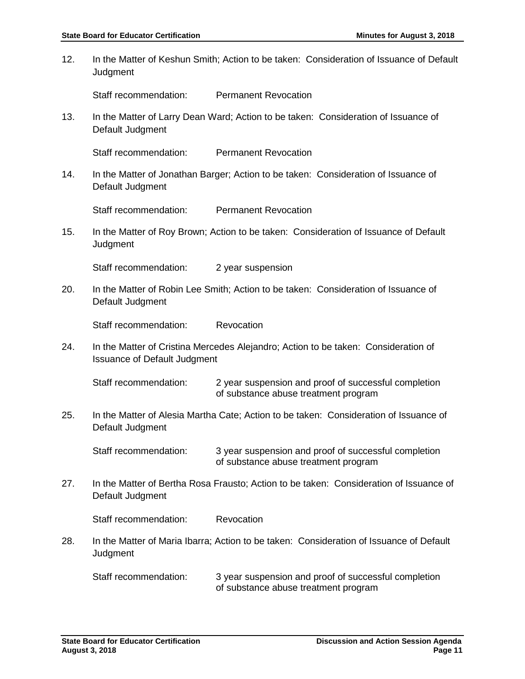12. In the Matter of Keshun Smith; Action to be taken: Consideration of Issuance of Default **Judament** Staff recommendation: Permanent Revocation 13. In the Matter of Larry Dean Ward; Action to be taken: Consideration of Issuance of Default Judgment Staff recommendation: Permanent Revocation 14. In the Matter of Jonathan Barger; Action to be taken: Consideration of Issuance of Default Judgment Staff recommendation: Permanent Revocation 15. In the Matter of Roy Brown; Action to be taken: Consideration of Issuance of Default **Judgment** Staff recommendation: 2 year suspension 20. In the Matter of Robin Lee Smith; Action to be taken: Consideration of Issuance of Default Judgment Staff recommendation: Revocation 24. In the Matter of Cristina Mercedes Alejandro; Action to be taken: Consideration of Issuance of Default Judgment Staff recommendation: 2 year suspension and proof of successful completion of substance abuse treatment program 25. In the Matter of Alesia Martha Cate; Action to be taken: Consideration of Issuance of Default Judgment Staff recommendation: 3 year suspension and proof of successful completion of substance abuse treatment program 27. In the Matter of Bertha Rosa Frausto; Action to be taken: Consideration of Issuance of Default Judgment Staff recommendation: Revocation 28. In the Matter of Maria Ibarra; Action to be taken: Consideration of Issuance of Default **Judgment** Staff recommendation: 3 year suspension and proof of successful completion of substance abuse treatment program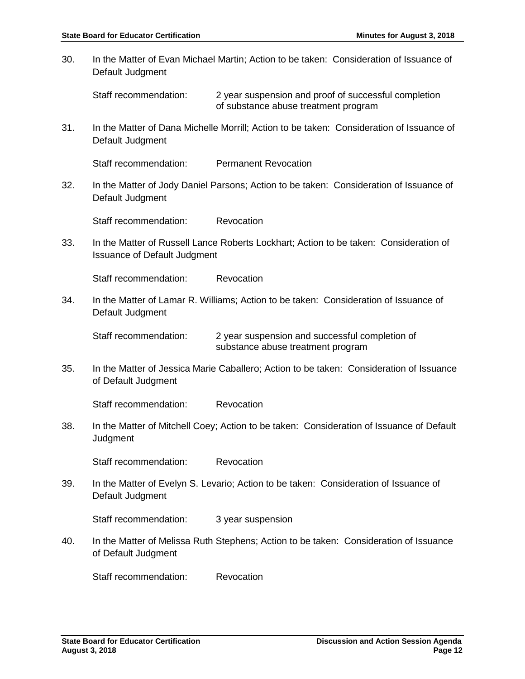30. In the Matter of Evan Michael Martin; Action to be taken: Consideration of Issuance of Default Judgment

Staff recommendation: 2 year suspension and proof of successful completion of substance abuse treatment program

31. In the Matter of Dana Michelle Morrill; Action to be taken: Consideration of Issuance of Default Judgment

Staff recommendation: Permanent Revocation

32. In the Matter of Jody Daniel Parsons; Action to be taken: Consideration of Issuance of Default Judgment

Staff recommendation: Revocation

33. In the Matter of Russell Lance Roberts Lockhart; Action to be taken: Consideration of Issuance of Default Judgment

Staff recommendation: Revocation

34. In the Matter of Lamar R. Williams; Action to be taken: Consideration of Issuance of Default Judgment

Staff recommendation: 2 year suspension and successful completion of substance abuse treatment program

35. In the Matter of Jessica Marie Caballero; Action to be taken: Consideration of Issuance of Default Judgment

Staff recommendation: Revocation

38. In the Matter of Mitchell Coey; Action to be taken: Consideration of Issuance of Default **Judgment** 

Staff recommendation: Revocation

39. In the Matter of Evelyn S. Levario; Action to be taken: Consideration of Issuance of Default Judgment

Staff recommendation: 3 year suspension

40. In the Matter of Melissa Ruth Stephens; Action to be taken: Consideration of Issuance of Default Judgment

Staff recommendation: Revocation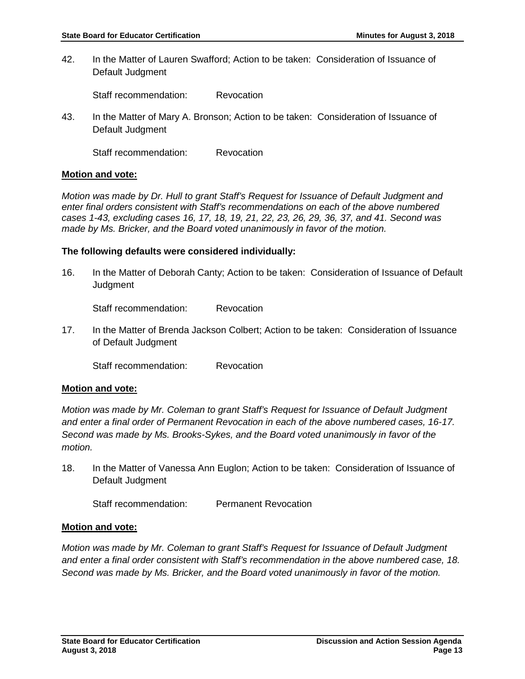42. In the Matter of Lauren Swafford; Action to be taken: Consideration of Issuance of Default Judgment

Staff recommendation: Revocation

43. In the Matter of Mary A. Bronson; Action to be taken: Consideration of Issuance of Default Judgment

Staff recommendation: Revocation

## **Motion and vote:**

*Motion was made by Dr. Hull to grant Staff's Request for Issuance of Default Judgment and enter final orders consistent with Staff's recommendations on each of the above numbered cases 1-43, excluding cases 16, 17, 18, 19, 21, 22, 23, 26, 29, 36, 37, and 41. Second was made by Ms. Bricker, and the Board voted unanimously in favor of the motion.*

## **The following defaults were considered individually:**

16. In the Matter of Deborah Canty; Action to be taken: Consideration of Issuance of Default **Judgment** 

Staff recommendation: Revocation

17. In the Matter of Brenda Jackson Colbert; Action to be taken: Consideration of Issuance of Default Judgment

Staff recommendation: Revocation

## **Motion and vote:**

*Motion was made by Mr. Coleman to grant Staff's Request for Issuance of Default Judgment and enter a final order of Permanent Revocation in each of the above numbered cases, 16-17. Second was made by Ms. Brooks-Sykes, and the Board voted unanimously in favor of the motion.* 

18. In the Matter of Vanessa Ann Euglon; Action to be taken: Consideration of Issuance of Default Judgment

Staff recommendation: Permanent Revocation

## **Motion and vote:**

*Motion was made by Mr. Coleman to grant Staff's Request for Issuance of Default Judgment and enter a final order consistent with Staff's recommendation in the above numbered case, 18. Second was made by Ms. Bricker, and the Board voted unanimously in favor of the motion.*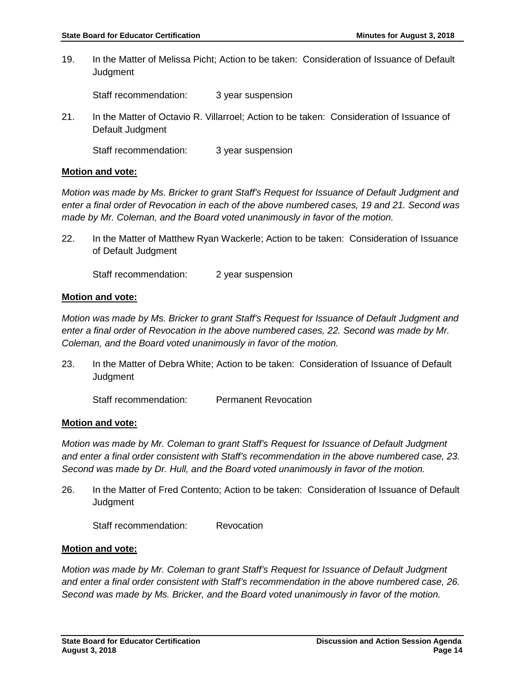19. In the Matter of Melissa Picht; Action to be taken: Consideration of Issuance of Default **Judgment** 

Staff recommendation: 3 year suspension

21. In the Matter of Octavio R. Villarroel; Action to be taken: Consideration of Issuance of Default Judgment

Staff recommendation: 3 year suspension

## **Motion and vote:**

*Motion was made by Ms. Bricker to grant Staff's Request for Issuance of Default Judgment and enter a final order of Revocation in each of the above numbered cases, 19 and 21. Second was made by Mr. Coleman, and the Board voted unanimously in favor of the motion.*

22. In the Matter of Matthew Ryan Wackerle; Action to be taken: Consideration of Issuance of Default Judgment

Staff recommendation: 2 year suspension

# **Motion and vote:**

*Motion was made by Ms. Bricker to grant Staff's Request for Issuance of Default Judgment and enter a final order of Revocation in the above numbered cases, 22. Second was made by Mr. Coleman, and the Board voted unanimously in favor of the motion.*

23. In the Matter of Debra White; Action to be taken: Consideration of Issuance of Default **Judgment** 

Staff recommendation: Permanent Revocation

## **Motion and vote:**

*Motion was made by Mr. Coleman to grant Staff's Request for Issuance of Default Judgment and enter a final order consistent with Staff's recommendation in the above numbered case, 23. Second was made by Dr. Hull, and the Board voted unanimously in favor of the motion.*

26. In the Matter of Fred Contento; Action to be taken: Consideration of Issuance of Default Judgment

Staff recommendation: Revocation

## **Motion and vote:**

*Motion was made by Mr. Coleman to grant Staff's Request for Issuance of Default Judgment and enter a final order consistent with Staff's recommendation in the above numbered case, 26. Second was made by Ms. Bricker, and the Board voted unanimously in favor of the motion.*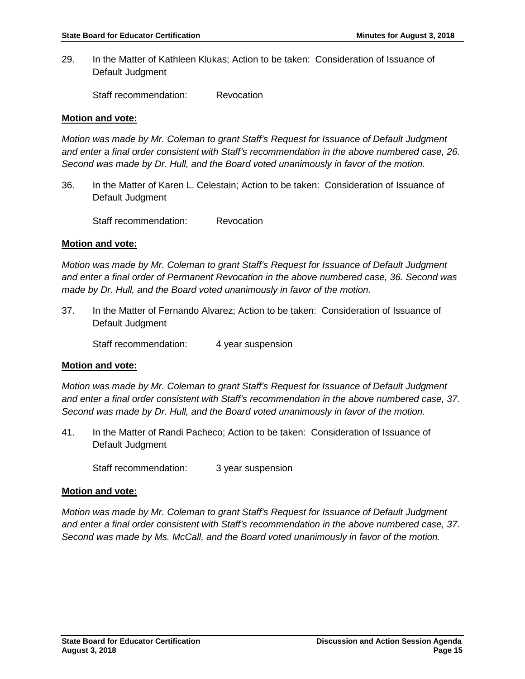29. In the Matter of Kathleen Klukas; Action to be taken: Consideration of Issuance of Default Judgment

Staff recommendation: Revocation

#### **Motion and vote:**

*Motion was made by Mr. Coleman to grant Staff's Request for Issuance of Default Judgment and enter a final order consistent with Staff's recommendation in the above numbered case, 26. Second was made by Dr. Hull, and the Board voted unanimously in favor of the motion.*

36. In the Matter of Karen L. Celestain; Action to be taken: Consideration of Issuance of Default Judgment

Staff recommendation: Revocation

## **Motion and vote:**

*Motion was made by Mr. Coleman to grant Staff's Request for Issuance of Default Judgment and enter a final order of Permanent Revocation in the above numbered case, 36. Second was made by Dr. Hull, and the Board voted unanimously in favor of the motion.*

37. In the Matter of Fernando Alvarez; Action to be taken: Consideration of Issuance of Default Judgment

Staff recommendation: 4 year suspension

## **Motion and vote:**

*Motion was made by Mr. Coleman to grant Staff's Request for Issuance of Default Judgment and enter a final order consistent with Staff's recommendation in the above numbered case, 37. Second was made by Dr. Hull, and the Board voted unanimously in favor of the motion.*

41. In the Matter of Randi Pacheco; Action to be taken: Consideration of Issuance of Default Judgment

Staff recommendation: 3 year suspension

#### **Motion and vote:**

*Motion was made by Mr. Coleman to grant Staff's Request for Issuance of Default Judgment and enter a final order consistent with Staff's recommendation in the above numbered case, 37. Second was made by Ms. McCall, and the Board voted unanimously in favor of the motion.*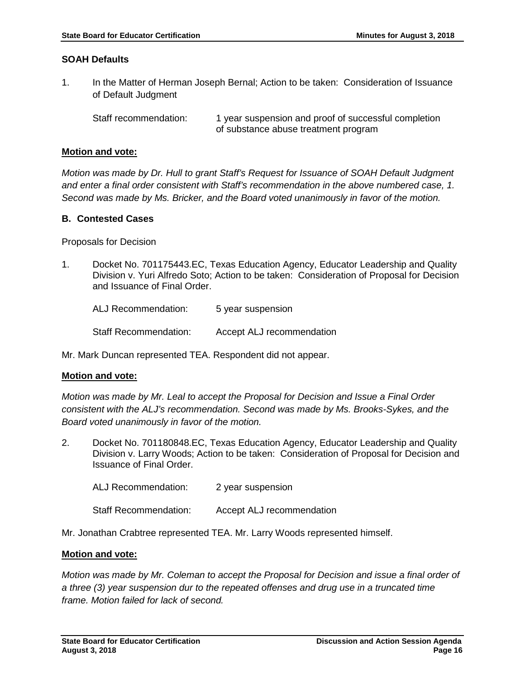#### **SOAH Defaults**

1. In the Matter of Herman Joseph Bernal; Action to be taken: Consideration of Issuance of Default Judgment

Staff recommendation: 1 year suspension and proof of successful completion of substance abuse treatment program

#### **Motion and vote:**

*Motion was made by Dr. Hull to grant Staff's Request for Issuance of SOAH Default Judgment and enter a final order consistent with Staff's recommendation in the above numbered case, 1. Second was made by Ms. Bricker, and the Board voted unanimously in favor of the motion.*

## **B. Contested Cases**

Proposals for Decision

1. Docket No. 701175443.EC, Texas Education Agency, Educator Leadership and Quality Division v. Yuri Alfredo Soto; Action to be taken: Consideration of Proposal for Decision and Issuance of Final Order.

ALJ Recommendation: 5 year suspension

Staff Recommendation: Accept ALJ recommendation

Mr. Mark Duncan represented TEA. Respondent did not appear.

## **Motion and vote:**

*Motion was made by Mr. Leal to accept the Proposal for Decision and Issue a Final Order consistent with the ALJ's recommendation. Second was made by Ms. Brooks-Sykes, and the Board voted unanimously in favor of the motion.* 

2. Docket No. 701180848.EC, Texas Education Agency, Educator Leadership and Quality Division v. Larry Woods; Action to be taken: Consideration of Proposal for Decision and Issuance of Final Order.

ALJ Recommendation: 2 year suspension

Staff Recommendation: Accept ALJ recommendation

Mr. Jonathan Crabtree represented TEA. Mr. Larry Woods represented himself.

## **Motion and vote:**

*Motion was made by Mr. Coleman to accept the Proposal for Decision and issue a final order of a three (3) year suspension dur to the repeated offenses and drug use in a truncated time frame. Motion failed for lack of second.*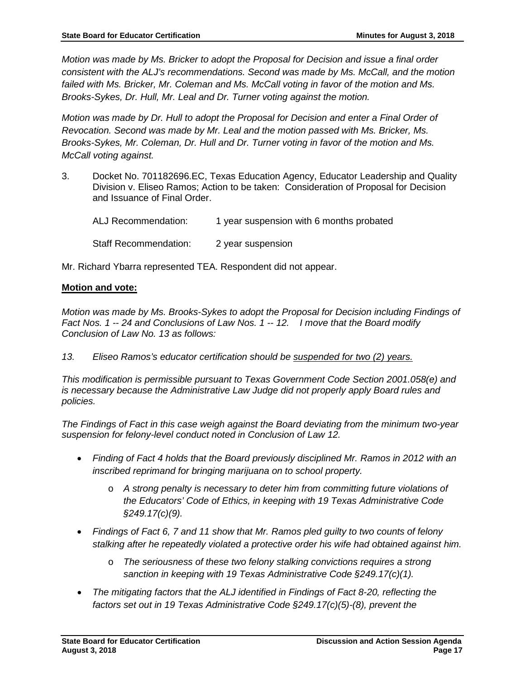*Motion was made by Ms. Bricker to adopt the Proposal for Decision and issue a final order consistent with the ALJ's recommendations. Second was made by Ms. McCall, and the motion failed with Ms. Bricker, Mr. Coleman and Ms. McCall voting in favor of the motion and Ms. Brooks-Sykes, Dr. Hull, Mr. Leal and Dr. Turner voting against the motion.* 

*Motion was made by Dr. Hull to adopt the Proposal for Decision and enter a Final Order of Revocation. Second was made by Mr. Leal and the motion passed with Ms. Bricker, Ms. Brooks-Sykes, Mr. Coleman, Dr. Hull and Dr. Turner voting in favor of the motion and Ms. McCall voting against.* 

3. Docket No. 701182696.EC, Texas Education Agency, Educator Leadership and Quality Division v. Eliseo Ramos; Action to be taken: Consideration of Proposal for Decision and Issuance of Final Order.

| ALJ Recommendation:   | 1 year suspension with 6 months probated |
|-----------------------|------------------------------------------|
| Staff Recommendation: | 2 year suspension                        |

Mr. Richard Ybarra represented TEA. Respondent did not appear.

# **Motion and vote:**

*Motion was made by Ms. Brooks-Sykes to adopt the Proposal for Decision including Findings of Fact Nos. 1 -- 24 and Conclusions of Law Nos. 1 -- 12. I move that the Board modify Conclusion of Law No. 13 as follows:*

*13. Eliseo Ramos's educator certification should be suspended for two (2) years.*

*This modification is permissible pursuant to Texas Government Code Section 2001.058(e) and is necessary because the Administrative Law Judge did not properly apply Board rules and policies.* 

*The Findings of Fact in this case weigh against the Board deviating from the minimum two-year suspension for felony-level conduct noted in Conclusion of Law 12.* 

- *Finding of Fact 4 holds that the Board previously disciplined Mr. Ramos in 2012 with an inscribed reprimand for bringing marijuana on to school property.* 
	- o *A strong penalty is necessary to deter him from committing future violations of the Educators' Code of Ethics, in keeping with 19 Texas Administrative Code §249.17(c)(9).*
- *Findings of Fact 6, 7 and 11 show that Mr. Ramos pled guilty to two counts of felony stalking after he repeatedly violated a protective order his wife had obtained against him.* 
	- o *The seriousness of these two felony stalking convictions requires a strong sanction in keeping with 19 Texas Administrative Code §249.17(c)(1).*
- *The mitigating factors that the ALJ identified in Findings of Fact 8-20, reflecting the factors set out in 19 Texas Administrative Code §249.17(c)(5)-(8), prevent the*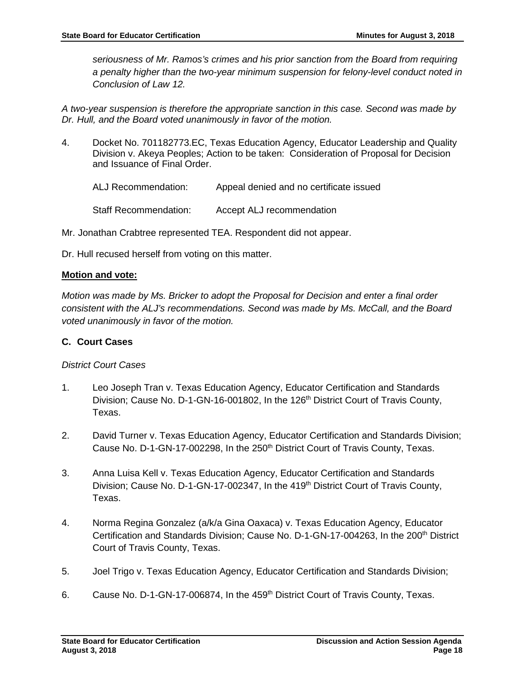*seriousness of Mr. Ramos's crimes and his prior sanction from the Board from requiring a penalty higher than the two-year minimum suspension for felony-level conduct noted in Conclusion of Law 12.*

*A two-year suspension is therefore the appropriate sanction in this case. Second was made by Dr. Hull, and the Board voted unanimously in favor of the motion.* 

4. Docket No. 701182773.EC, Texas Education Agency, Educator Leadership and Quality Division v. Akeya Peoples; Action to be taken: Consideration of Proposal for Decision and Issuance of Final Order.

ALJ Recommendation: Appeal denied and no certificate issued

Staff Recommendation: Accept ALJ recommendation

Mr. Jonathan Crabtree represented TEA. Respondent did not appear.

Dr. Hull recused herself from voting on this matter.

#### **Motion and vote:**

*Motion was made by Ms. Bricker to adopt the Proposal for Decision and enter a final order consistent with the ALJ's recommendations. Second was made by Ms. McCall, and the Board voted unanimously in favor of the motion.* 

#### **C. Court Cases**

## *District Court Cases*

- 1. Leo Joseph Tran v. Texas Education Agency, Educator Certification and Standards Division; Cause No. D-1-GN-16-001802, In the 126<sup>th</sup> District Court of Travis County, Texas.
- 2. David Turner v. Texas Education Agency, Educator Certification and Standards Division; Cause No. D-1-GN-17-002298, In the 250<sup>th</sup> District Court of Travis County, Texas.
- 3. Anna Luisa Kell v. Texas Education Agency, Educator Certification and Standards Division; Cause No. D-1-GN-17-002347, In the 419<sup>th</sup> District Court of Travis County, Texas.
- 4. Norma Regina Gonzalez (a/k/a Gina Oaxaca) v. Texas Education Agency, Educator Certification and Standards Division; Cause No. D-1-GN-17-004263, In the 200th District Court of Travis County, Texas.
- 5. Joel Trigo v. Texas Education Agency, Educator Certification and Standards Division;
- 6. Cause No. D-1-GN-17-006874, In the 459<sup>th</sup> District Court of Travis County, Texas.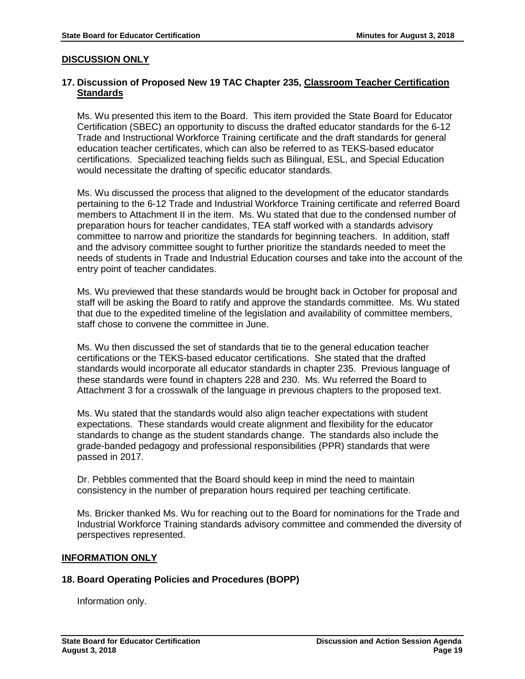# **DISCUSSION ONLY**

# **17. Discussion of Proposed New 19 TAC Chapter 235, Classroom Teacher Certification Standards**

Ms. Wu presented this item to the Board. This item provided the State Board for Educator Certification (SBEC) an opportunity to discuss the drafted educator standards for the 6-12 Trade and Instructional Workforce Training certificate and the draft standards for general education teacher certificates, which can also be referred to as TEKS-based educator certifications. Specialized teaching fields such as Bilingual, ESL, and Special Education would necessitate the drafting of specific educator standards.

Ms. Wu discussed the process that aligned to the development of the educator standards pertaining to the 6-12 Trade and Industrial Workforce Training certificate and referred Board members to Attachment II in the item. Ms. Wu stated that due to the condensed number of preparation hours for teacher candidates, TEA staff worked with a standards advisory committee to narrow and prioritize the standards for beginning teachers. In addition, staff and the advisory committee sought to further prioritize the standards needed to meet the needs of students in Trade and Industrial Education courses and take into the account of the entry point of teacher candidates.

Ms. Wu previewed that these standards would be brought back in October for proposal and staff will be asking the Board to ratify and approve the standards committee. Ms. Wu stated that due to the expedited timeline of the legislation and availability of committee members, staff chose to convene the committee in June.

Ms. Wu then discussed the set of standards that tie to the general education teacher certifications or the TEKS-based educator certifications. She stated that the drafted standards would incorporate all educator standards in chapter 235. Previous language of these standards were found in chapters 228 and 230. Ms. Wu referred the Board to Attachment 3 for a crosswalk of the language in previous chapters to the proposed text.

Ms. Wu stated that the standards would also align teacher expectations with student expectations. These standards would create alignment and flexibility for the educator standards to change as the student standards change. The standards also include the grade-banded pedagogy and professional responsibilities (PPR) standards that were passed in 2017.

Dr. Pebbles commented that the Board should keep in mind the need to maintain consistency in the number of preparation hours required per teaching certificate.

Ms. Bricker thanked Ms. Wu for reaching out to the Board for nominations for the Trade and Industrial Workforce Training standards advisory committee and commended the diversity of perspectives represented.

# **INFORMATION ONLY**

## **18. Board Operating Policies and Procedures (BOPP)**

Information only.